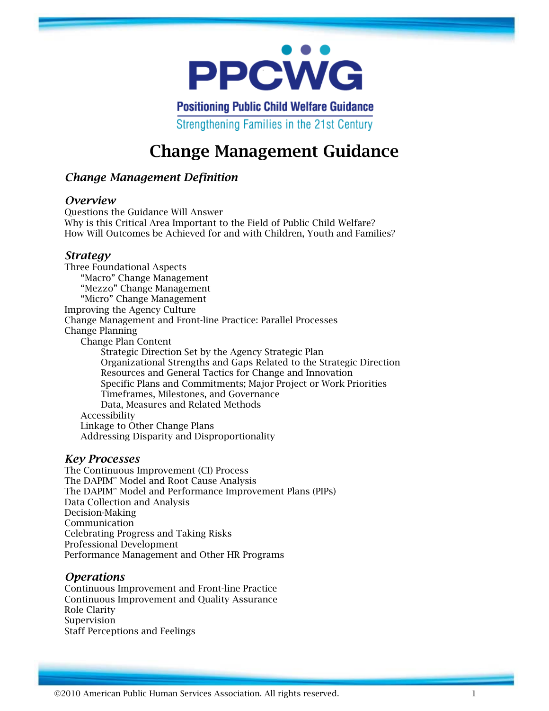

**Positioning Public Child Welfare Guidance** Strengthening Families in the 21st Century

# **Change Management Guidance**

## *Change Management Definition*

#### *Overview*

Questions the Guidance Will Answer Why is this Critical Area Important to the Field of Public Child Welfare? How Will Outcomes be Achieved for and with Children, Youth and Families?

#### *Strategy*

Three Foundational Aspects "Macro" Change Management "Mezzo" Change Management "Micro" Change Management Improving the Agency Culture Change Management and Front-line Practice: Parallel Processes Change Planning Change Plan Content Strategic Direction Set by the Agency Strategic Plan Organizational Strengths and Gaps Related to the Strategic Direction Resources and General Tactics for Change and Innovation Specific Plans and Commitments; Major Project or Work Priorities Timeframes, Milestones, and Governance Data, Measures and Related Methods Accessibility Linkage to Other Change Plans Addressing Disparity and Disproportionality

#### *Key Processes*

The Continuous Improvement (CI) Process The DAPIM™ Model and Root Cause Analysis The DAPIM™ Model and Performance Improvement Plans (PIPs) Data Collection and Analysis Decision-Making Communication Celebrating Progress and Taking Risks Professional Development Performance Management and Other HR Programs

## *Operations*

Continuous Improvement and Front-line Practice Continuous Improvement and Quality Assurance Role Clarity Supervision Staff Perceptions and Feelings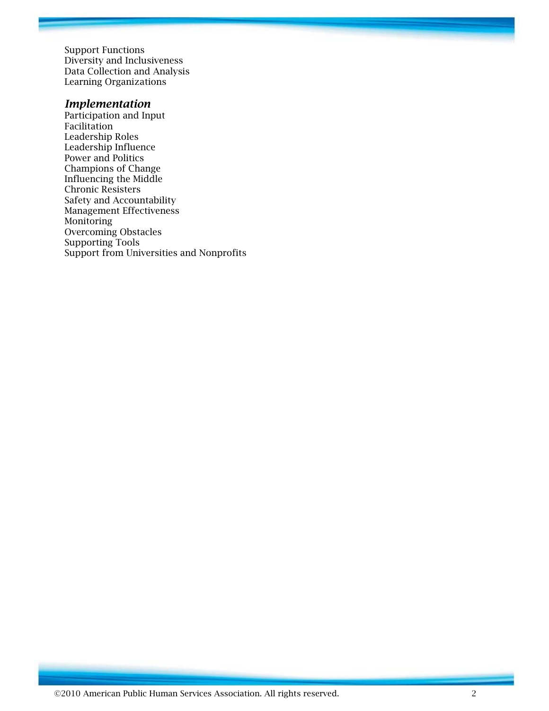Support Functions Diversity and Inclusiveness Data Collection and Analysis Learning Organizations

#### *Implementation*

Participation and Input Facilitation Leadership Roles Leadership Influence Power and Politics Champions of Change Influencing the Middle Chronic Resisters Safety and Accountability Management Effectiveness Monitoring Overcoming Obstacles Supporting Tools Support from Universities and Nonprofits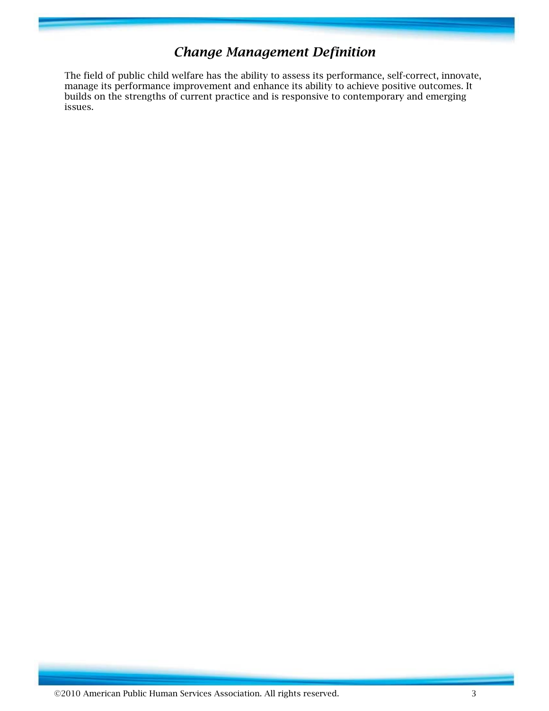# *Change Management Definition*

The field of public child welfare has the ability to assess its performance, self-correct, innovate, manage its performance improvement and enhance its ability to achieve positive outcomes. It builds on the strengths of current practice and is responsive to contemporary and emerging issues.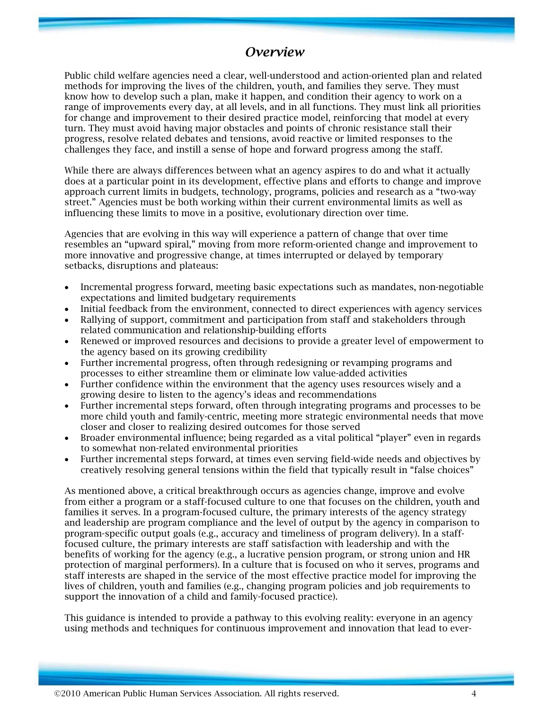# *Overview*

Public child welfare agencies need a clear, well-understood and action-oriented plan and related methods for improving the lives of the children, youth, and families they serve. They must know how to develop such a plan, make it happen, and condition their agency to work on a range of improvements every day, at all levels, and in all functions. They must link all priorities for change and improvement to their desired practice model, reinforcing that model at every turn. They must avoid having major obstacles and points of chronic resistance stall their progress, resolve related debates and tensions, avoid reactive or limited responses to the challenges they face, and instill a sense of hope and forward progress among the staff.

While there are always differences between what an agency aspires to do and what it actually does at a particular point in its development, effective plans and efforts to change and improve approach current limits in budgets, technology, programs, policies and research as a "two-way street." Agencies must be both working within their current environmental limits as well as influencing these limits to move in a positive, evolutionary direction over time.

Agencies that are evolving in this way will experience a pattern of change that over time resembles an "upward spiral," moving from more reform-oriented change and improvement to more innovative and progressive change, at times interrupted or delayed by temporary setbacks, disruptions and plateaus:

- Incremental progress forward, meeting basic expectations such as mandates, non-negotiable expectations and limited budgetary requirements
- Initial feedback from the environment, connected to direct experiences with agency services
- Rallying of support, commitment and participation from staff and stakeholders through related communication and relationship-building efforts
- Renewed or improved resources and decisions to provide a greater level of empowerment to the agency based on its growing credibility
- Further incremental progress, often through redesigning or revamping programs and processes to either streamline them or eliminate low value-added activities
- Further confidence within the environment that the agency uses resources wisely and a growing desire to listen to the agency's ideas and recommendations
- Further incremental steps forward, often through integrating programs and processes to be more child youth and family-centric, meeting more strategic environmental needs that move closer and closer to realizing desired outcomes for those served
- Broader environmental influence; being regarded as a vital political "player" even in regards to somewhat non-related environmental priorities
- Further incremental steps forward, at times even serving field-wide needs and objectives by creatively resolving general tensions within the field that typically result in "false choices"

As mentioned above, a critical breakthrough occurs as agencies change, improve and evolve from either a program or a staff-focused culture to one that focuses on the children, youth and families it serves. In a program-focused culture, the primary interests of the agency strategy and leadership are program compliance and the level of output by the agency in comparison to program-specific output goals (e.g., accuracy and timeliness of program delivery). In a stafffocused culture, the primary interests are staff satisfaction with leadership and with the benefits of working for the agency (e.g., a lucrative pension program, or strong union and HR protection of marginal performers). In a culture that is focused on who it serves, programs and staff interests are shaped in the service of the most effective practice model for improving the lives of children, youth and families (e.g., changing program policies and job requirements to support the innovation of a child and family-focused practice).

This guidance is intended to provide a pathway to this evolving reality: everyone in an agency using methods and techniques for continuous improvement and innovation that lead to ever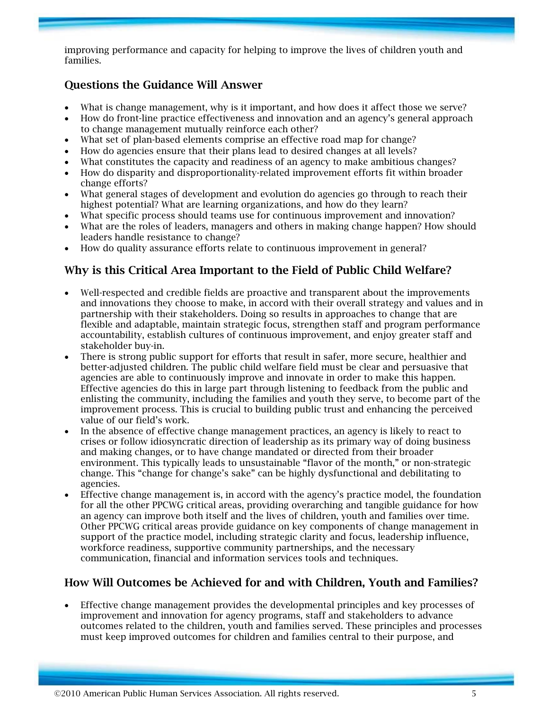improving performance and capacity for helping to improve the lives of children youth and families.

## **Questions the Guidance Will Answer**

- What is change management, why is it important, and how does it affect those we serve?
- How do front-line practice effectiveness and innovation and an agency's general approach to change management mutually reinforce each other?
- What set of plan-based elements comprise an effective road map for change?
- How do agencies ensure that their plans lead to desired changes at all levels?
- What constitutes the capacity and readiness of an agency to make ambitious changes?
- How do disparity and disproportionality-related improvement efforts fit within broader change efforts?
- What general stages of development and evolution do agencies go through to reach their highest potential? What are learning organizations, and how do they learn?
- What specific process should teams use for continuous improvement and innovation?
- What are the roles of leaders, managers and others in making change happen? How should leaders handle resistance to change?
- How do quality assurance efforts relate to continuous improvement in general?

# **Why is this Critical Area Important to the Field of Public Child Welfare?**

- Well-respected and credible fields are proactive and transparent about the improvements and innovations they choose to make, in accord with their overall strategy and values and in partnership with their stakeholders. Doing so results in approaches to change that are flexible and adaptable, maintain strategic focus, strengthen staff and program performance accountability, establish cultures of continuous improvement, and enjoy greater staff and stakeholder buy-in.
- There is strong public support for efforts that result in safer, more secure, healthier and better-adjusted children. The public child welfare field must be clear and persuasive that agencies are able to continuously improve and innovate in order to make this happen. Effective agencies do this in large part through listening to feedback from the public and enlisting the community, including the families and youth they serve, to become part of the improvement process. This is crucial to building public trust and enhancing the perceived value of our field's work.
- In the absence of effective change management practices, an agency is likely to react to crises or follow idiosyncratic direction of leadership as its primary way of doing business and making changes, or to have change mandated or directed from their broader environment. This typically leads to unsustainable "flavor of the month," or non-strategic change. This "change for change's sake" can be highly dysfunctional and debilitating to agencies.
- Effective change management is, in accord with the agency's practice model, the foundation for all the other PPCWG critical areas, providing overarching and tangible guidance for how an agency can improve both itself and the lives of children, youth and families over time. Other PPCWG critical areas provide guidance on key components of change management in support of the practice model, including strategic clarity and focus, leadership influence, workforce readiness, supportive community partnerships, and the necessary communication, financial and information services tools and techniques.

# **How Will Outcomes be Achieved for and with Children, Youth and Families?**

• Effective change management provides the developmental principles and key processes of improvement and innovation for agency programs, staff and stakeholders to advance outcomes related to the children, youth and families served. These principles and processes must keep improved outcomes for children and families central to their purpose, and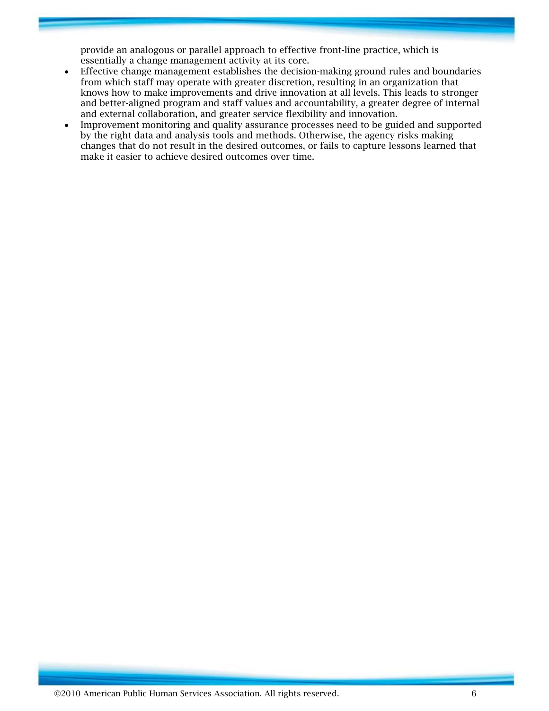provide an analogous or parallel approach to effective front-line practice, which is essentially a change management activity at its core.

- Effective change management establishes the decision-making ground rules and boundaries from which staff may operate with greater discretion, resulting in an organization that knows how to make improvements and drive innovation at all levels. This leads to stronger and better-aligned program and staff values and accountability, a greater degree of internal and external collaboration, and greater service flexibility and innovation.
- Improvement monitoring and quality assurance processes need to be guided and supported by the right data and analysis tools and methods. Otherwise, the agency risks making changes that do not result in the desired outcomes, or fails to capture lessons learned that make it easier to achieve desired outcomes over time.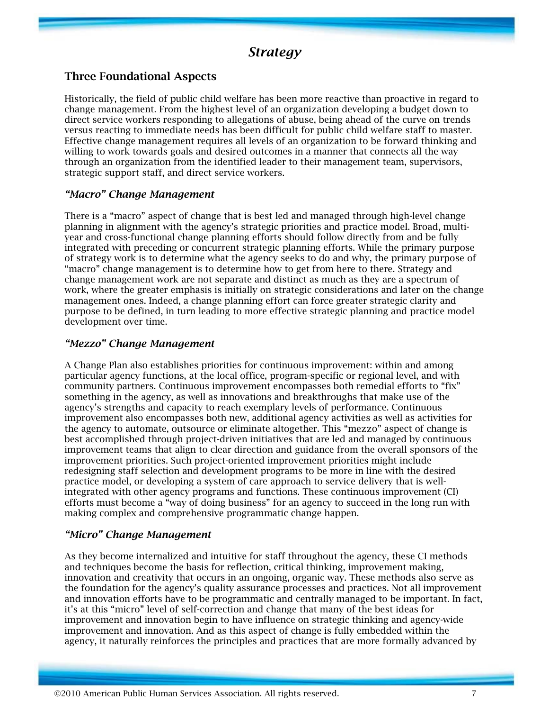# *Strategy*

## **Three Foundational Aspects**

Historically, the field of public child welfare has been more reactive than proactive in regard to change management. From the highest level of an organization developing a budget down to direct service workers responding to allegations of abuse, being ahead of the curve on trends versus reacting to immediate needs has been difficult for public child welfare staff to master. Effective change management requires all levels of an organization to be forward thinking and willing to work towards goals and desired outcomes in a manner that connects all the way through an organization from the identified leader to their management team, supervisors, strategic support staff, and direct service workers.

#### *"Macro" Change Management*

There is a "macro" aspect of change that is best led and managed through high-level change planning in alignment with the agency's strategic priorities and practice model. Broad, multiyear and cross-functional change planning efforts should follow directly from and be fully integrated with preceding or concurrent strategic planning efforts. While the primary purpose of strategy work is to determine what the agency seeks to do and why, the primary purpose of "macro" change management is to determine how to get from here to there. Strategy and change management work are not separate and distinct as much as they are a spectrum of work, where the greater emphasis is initially on strategic considerations and later on the change management ones. Indeed, a change planning effort can force greater strategic clarity and purpose to be defined, in turn leading to more effective strategic planning and practice model development over time.

#### *"Mezzo" Change Management*

A Change Plan also establishes priorities for continuous improvement: within and among particular agency functions, at the local office, program-specific or regional level, and with community partners. Continuous improvement encompasses both remedial efforts to "fix" something in the agency, as well as innovations and breakthroughs that make use of the agency's strengths and capacity to reach exemplary levels of performance. Continuous improvement also encompasses both new, additional agency activities as well as activities for the agency to automate, outsource or eliminate altogether. This "mezzo" aspect of change is best accomplished through project-driven initiatives that are led and managed by continuous improvement teams that align to clear direction and guidance from the overall sponsors of the improvement priorities. Such project-oriented improvement priorities might include redesigning staff selection and development programs to be more in line with the desired practice model, or developing a system of care approach to service delivery that is wellintegrated with other agency programs and functions. These continuous improvement (CI) efforts must become a "way of doing business" for an agency to succeed in the long run with making complex and comprehensive programmatic change happen.

#### *"Micro" Change Management*

As they become internalized and intuitive for staff throughout the agency, these CI methods and techniques become the basis for reflection, critical thinking, improvement making, innovation and creativity that occurs in an ongoing, organic way. These methods also serve as the foundation for the agency's quality assurance processes and practices. Not all improvement and innovation efforts have to be programmatic and centrally managed to be important. In fact, it's at this "micro" level of self-correction and change that many of the best ideas for improvement and innovation begin to have influence on strategic thinking and agency-wide improvement and innovation. And as this aspect of change is fully embedded within the agency, it naturally reinforces the principles and practices that are more formally advanced by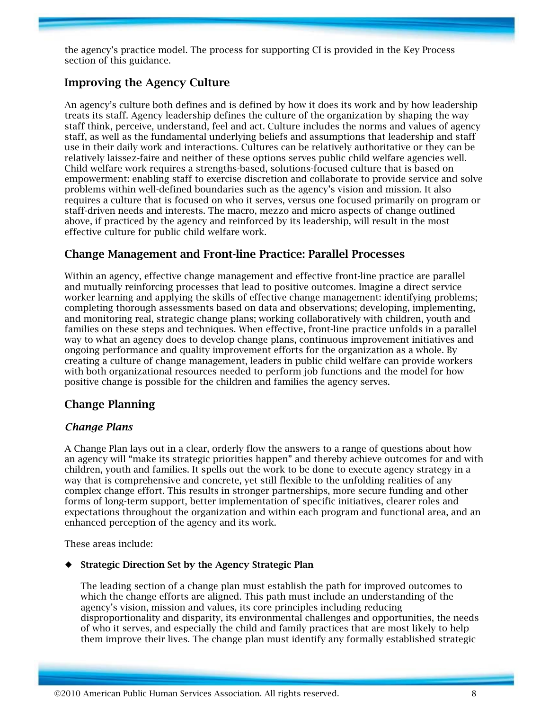the agency's practice model. The process for supporting CI is provided in the Key Process section of this guidance.

## **Improving the Agency Culture**

An agency's culture both defines and is defined by how it does its work and by how leadership treats its staff. Agency leadership defines the culture of the organization by shaping the way staff think, perceive, understand, feel and act. Culture includes the norms and values of agency staff, as well as the fundamental underlying beliefs and assumptions that leadership and staff use in their daily work and interactions. Cultures can be relatively authoritative or they can be relatively laissez-faire and neither of these options serves public child welfare agencies well. Child welfare work requires a strengths-based, solutions-focused culture that is based on empowerment: enabling staff to exercise discretion and collaborate to provide service and solve problems within well-defined boundaries such as the agency's vision and mission. It also requires a culture that is focused on who it serves, versus one focused primarily on program or staff-driven needs and interests. The macro, mezzo and micro aspects of change outlined above, if practiced by the agency and reinforced by its leadership, will result in the most effective culture for public child welfare work.

## **Change Management and Front-line Practice: Parallel Processes**

Within an agency, effective change management and effective front-line practice are parallel and mutually reinforcing processes that lead to positive outcomes. Imagine a direct service worker learning and applying the skills of effective change management: identifying problems; completing thorough assessments based on data and observations; developing, implementing, and monitoring real, strategic change plans; working collaboratively with children, youth and families on these steps and techniques. When effective, front-line practice unfolds in a parallel way to what an agency does to develop change plans, continuous improvement initiatives and ongoing performance and quality improvement efforts for the organization as a whole. By creating a culture of change management, leaders in public child welfare can provide workers with both organizational resources needed to perform job functions and the model for how positive change is possible for the children and families the agency serves.

# **Change Planning**

#### *Change Plans*

A Change Plan lays out in a clear, orderly flow the answers to a range of questions about how an agency will "make its strategic priorities happen" and thereby achieve outcomes for and with children, youth and families. It spells out the work to be done to execute agency strategy in a way that is comprehensive and concrete, yet still flexible to the unfolding realities of any complex change effort. This results in stronger partnerships, more secure funding and other forms of long-term support, better implementation of specific initiatives, clearer roles and expectations throughout the organization and within each program and functional area, and an enhanced perception of the agency and its work.

These areas include:

#### ¡ **Strategic Direction Set by the Agency Strategic Plan**

The leading section of a change plan must establish the path for improved outcomes to which the change efforts are aligned. This path must include an understanding of the agency's vision, mission and values, its core principles including reducing disproportionality and disparity, its environmental challenges and opportunities, the needs of who it serves, and especially the child and family practices that are most likely to help them improve their lives. The change plan must identify any formally established strategic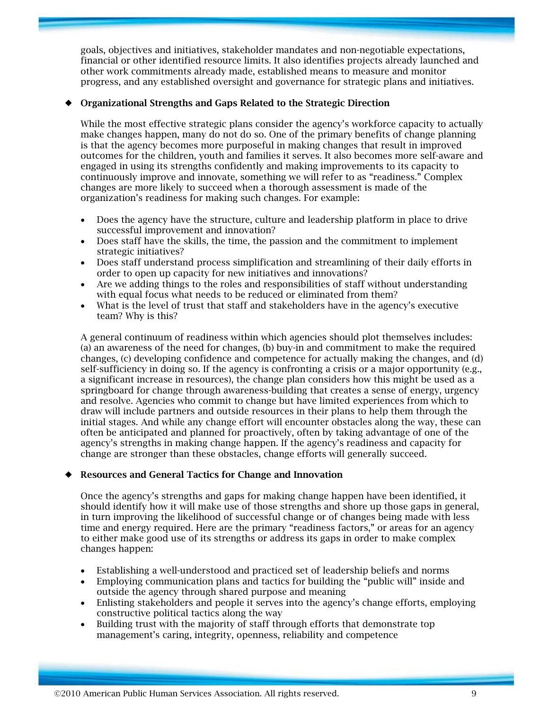goals, objectives and initiatives, stakeholder mandates and non-negotiable expectations, financial or other identified resource limits. It also identifies projects already launched and other work commitments already made, established means to measure and monitor progress, and any established oversight and governance for strategic plans and initiatives.

#### ¡ **Organizational Strengths and Gaps Related to the Strategic Direction**

While the most effective strategic plans consider the agency's workforce capacity to actually make changes happen, many do not do so. One of the primary benefits of change planning is that the agency becomes more purposeful in making changes that result in improved outcomes for the children, youth and families it serves. It also becomes more self-aware and engaged in using its strengths confidently and making improvements to its capacity to continuously improve and innovate, something we will refer to as "readiness." Complex changes are more likely to succeed when a thorough assessment is made of the organization's readiness for making such changes. For example:

- Does the agency have the structure, culture and leadership platform in place to drive successful improvement and innovation?
- Does staff have the skills, the time, the passion and the commitment to implement strategic initiatives?
- Does staff understand process simplification and streamlining of their daily efforts in order to open up capacity for new initiatives and innovations?
- Are we adding things to the roles and responsibilities of staff without understanding with equal focus what needs to be reduced or eliminated from them?
- What is the level of trust that staff and stakeholders have in the agency's executive team? Why is this?

A general continuum of readiness within which agencies should plot themselves includes: (a) an awareness of the need for changes, (b) buy-in and commitment to make the required changes, (c) developing confidence and competence for actually making the changes, and (d) self-sufficiency in doing so. If the agency is confronting a crisis or a major opportunity (e.g., a significant increase in resources), the change plan considers how this might be used as a springboard for change through awareness-building that creates a sense of energy, urgency and resolve. Agencies who commit to change but have limited experiences from which to draw will include partners and outside resources in their plans to help them through the initial stages. And while any change effort will encounter obstacles along the way, these can often be anticipated and planned for proactively, often by taking advantage of one of the agency's strengths in making change happen. If the agency's readiness and capacity for change are stronger than these obstacles, change efforts will generally succeed.

#### ¡ **Resources and General Tactics for Change and Innovation**

Once the agency's strengths and gaps for making change happen have been identified, it should identify how it will make use of those strengths and shore up those gaps in general, in turn improving the likelihood of successful change or of changes being made with less time and energy required. Here are the primary "readiness factors," or areas for an agency to either make good use of its strengths or address its gaps in order to make complex changes happen:

- Establishing a well-understood and practiced set of leadership beliefs and norms
- Employing communication plans and tactics for building the "public will" inside and outside the agency through shared purpose and meaning
- Enlisting stakeholders and people it serves into the agency's change efforts, employing constructive political tactics along the way
- Building trust with the majority of staff through efforts that demonstrate top management's caring, integrity, openness, reliability and competence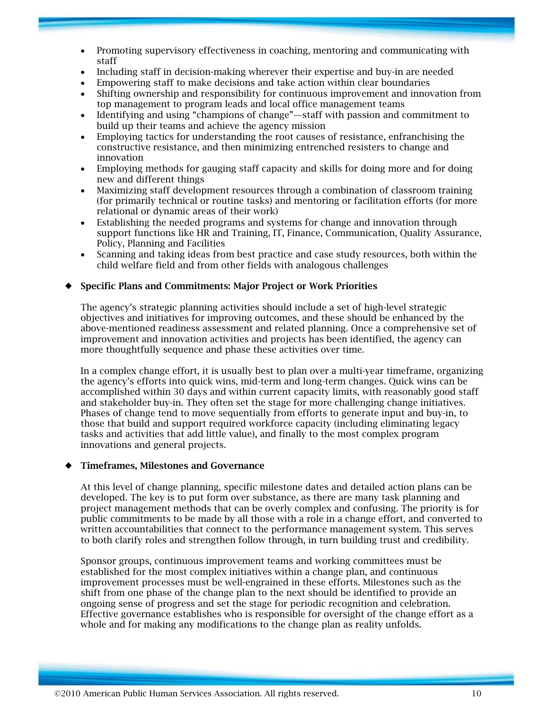- Promoting supervisory effectiveness in coaching, mentoring and communicating with staff
- Including staff in decision-making wherever their expertise and buy-in are needed
- Empowering staff to make decisions and take action within clear boundaries
- Shifting ownership and responsibility for continuous improvement and innovation from top management to program leads and local office management teams
- Identifying and using "champions of change"—staff with passion and commitment to build up their teams and achieve the agency mission
- Employing tactics for understanding the root causes of resistance, enfranchising the constructive resistance, and then minimizing entrenched resisters to change and innovation
- Employing methods for gauging staff capacity and skills for doing more and for doing new and different things
- Maximizing staff development resources through a combination of classroom training (for primarily technical or routine tasks) and mentoring or facilitation efforts (for more relational or dynamic areas of their work)
- Establishing the needed programs and systems for change and innovation through support functions like HR and Training, IT, Finance, Communication, Quality Assurance, Policy, Planning and Facilities
- Scanning and taking ideas from best practice and case study resources, both within the child welfare field and from other fields with analogous challenges

#### ¡ **Specific Plans and Commitments: Major Project or Work Priorities**

The agency's strategic planning activities should include a set of high-level strategic objectives and initiatives for improving outcomes, and these should be enhanced by the above-mentioned readiness assessment and related planning. Once a comprehensive set of improvement and innovation activities and projects has been identified, the agency can more thoughtfully sequence and phase these activities over time.

In a complex change effort, it is usually best to plan over a multi-year timeframe, organizing the agency's efforts into quick wins, mid-term and long-term changes. Quick wins can be accomplished within 30 days and within current capacity limits, with reasonably good staff and stakeholder buy-in. They often set the stage for more challenging change initiatives. Phases of change tend to move sequentially from efforts to generate input and buy-in, to those that build and support required workforce capacity (including eliminating legacy tasks and activities that add little value), and finally to the most complex program innovations and general projects.

#### ¡ **Timeframes, Milestones and Governance**

At this level of change planning, specific milestone dates and detailed action plans can be developed. The key is to put form over substance, as there are many task planning and project management methods that can be overly complex and confusing. The priority is for public commitments to be made by all those with a role in a change effort, and converted to written accountabilities that connect to the performance management system. This serves to both clarify roles and strengthen follow through, in turn building trust and credibility.

Sponsor groups, continuous improvement teams and working committees must be established for the most complex initiatives within a change plan, and continuous improvement processes must be well-engrained in these efforts. Milestones such as the shift from one phase of the change plan to the next should be identified to provide an ongoing sense of progress and set the stage for periodic recognition and celebration. Effective governance establishes who is responsible for oversight of the change effort as a whole and for making any modifications to the change plan as reality unfolds.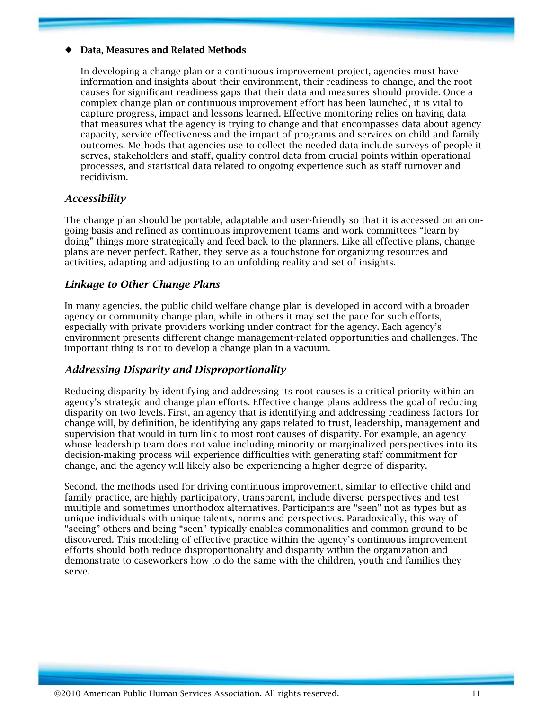#### ¡ **Data, Measures and Related Methods**

In developing a change plan or a continuous improvement project, agencies must have information and insights about their environment, their readiness to change, and the root causes for significant readiness gaps that their data and measures should provide. Once a complex change plan or continuous improvement effort has been launched, it is vital to capture progress, impact and lessons learned. Effective monitoring relies on having data that measures what the agency is trying to change and that encompasses data about agency capacity, service effectiveness and the impact of programs and services on child and family outcomes. Methods that agencies use to collect the needed data include surveys of people it serves, stakeholders and staff, quality control data from crucial points within operational processes, and statistical data related to ongoing experience such as staff turnover and recidivism.

#### *Accessibility*

The change plan should be portable, adaptable and user-friendly so that it is accessed on an ongoing basis and refined as continuous improvement teams and work committees "learn by doing" things more strategically and feed back to the planners. Like all effective plans, change plans are never perfect. Rather, they serve as a touchstone for organizing resources and activities, adapting and adjusting to an unfolding reality and set of insights.

#### *Linkage to Other Change Plans*

In many agencies, the public child welfare change plan is developed in accord with a broader agency or community change plan, while in others it may set the pace for such efforts, especially with private providers working under contract for the agency. Each agency's environment presents different change management-related opportunities and challenges. The important thing is not to develop a change plan in a vacuum.

#### *Addressing Disparity and Disproportionality*

Reducing disparity by identifying and addressing its root causes is a critical priority within an agency's strategic and change plan efforts. Effective change plans address the goal of reducing disparity on two levels. First, an agency that is identifying and addressing readiness factors for change will, by definition, be identifying any gaps related to trust, leadership, management and supervision that would in turn link to most root causes of disparity. For example, an agency whose leadership team does not value including minority or marginalized perspectives into its decision-making process will experience difficulties with generating staff commitment for change, and the agency will likely also be experiencing a higher degree of disparity.

Second, the methods used for driving continuous improvement, similar to effective child and family practice, are highly participatory, transparent, include diverse perspectives and test multiple and sometimes unorthodox alternatives. Participants are "seen" not as types but as unique individuals with unique talents, norms and perspectives. Paradoxically, this way of "seeing" others and being "seen" typically enables commonalities and common ground to be discovered. This modeling of effective practice within the agency's continuous improvement efforts should both reduce disproportionality and disparity within the organization and demonstrate to caseworkers how to do the same with the children, youth and families they serve.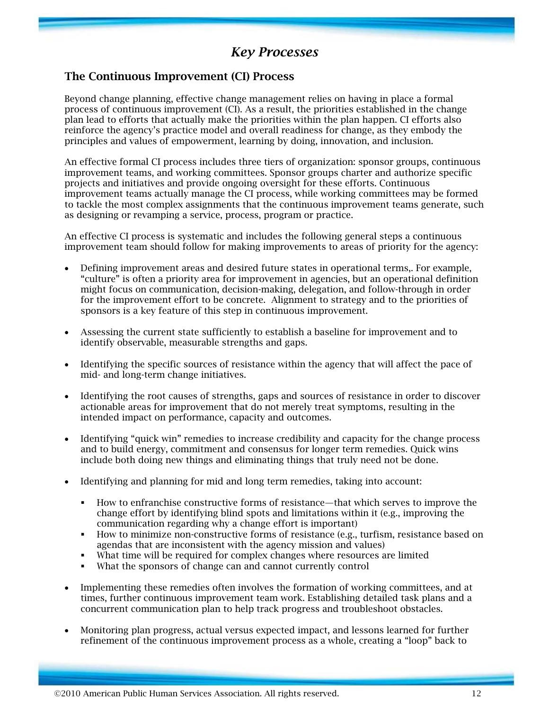# *Key Processes*

## **The Continuous Improvement (CI) Process**

Beyond change planning, effective change management relies on having in place a formal process of continuous improvement (CI). As a result, the priorities established in the change plan lead to efforts that actually make the priorities within the plan happen. CI efforts also reinforce the agency's practice model and overall readiness for change, as they embody the principles and values of empowerment, learning by doing, innovation, and inclusion.

An effective formal CI process includes three tiers of organization: sponsor groups, continuous improvement teams, and working committees. Sponsor groups charter and authorize specific projects and initiatives and provide ongoing oversight for these efforts. Continuous improvement teams actually manage the CI process, while working committees may be formed to tackle the most complex assignments that the continuous improvement teams generate, such as designing or revamping a service, process, program or practice.

An effective CI process is systematic and includes the following general steps a continuous improvement team should follow for making improvements to areas of priority for the agency:

- Defining improvement areas and desired future states in operational terms,. For example, "culture" is often a priority area for improvement in agencies, but an operational definition might focus on communication, decision-making, delegation, and follow-through in order for the improvement effort to be concrete. Alignment to strategy and to the priorities of sponsors is a key feature of this step in continuous improvement.
- Assessing the current state sufficiently to establish a baseline for improvement and to identify observable, measurable strengths and gaps.
- Identifying the specific sources of resistance within the agency that will affect the pace of mid- and long-term change initiatives.
- Identifying the root causes of strengths, gaps and sources of resistance in order to discover actionable areas for improvement that do not merely treat symptoms, resulting in the intended impact on performance, capacity and outcomes.
- Identifying "quick win" remedies to increase credibility and capacity for the change process and to build energy, commitment and consensus for longer term remedies. Quick wins include both doing new things and eliminating things that truly need not be done.
- Identifying and planning for mid and long term remedies, taking into account:
	- How to enfranchise constructive forms of resistance—that which serves to improve the change effort by identifying blind spots and limitations within it (e.g., improving the communication regarding why a change effort is important)
	- How to minimize non-constructive forms of resistance (e.g., turfism, resistance based on agendas that are inconsistent with the agency mission and values)
	- What time will be required for complex changes where resources are limited
	- What the sponsors of change can and cannot currently control
- Implementing these remedies often involves the formation of working committees, and at times, further continuous improvement team work. Establishing detailed task plans and a concurrent communication plan to help track progress and troubleshoot obstacles.
- Monitoring plan progress, actual versus expected impact, and lessons learned for further refinement of the continuous improvement process as a whole, creating a "loop" back to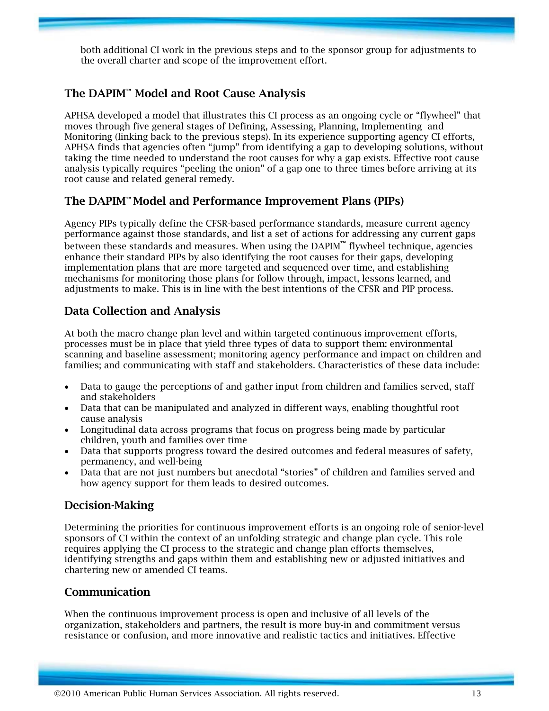both additional CI work in the previous steps and to the sponsor group for adjustments to the overall charter and scope of the improvement effort.

# **The DAPIM™ Model and Root Cause Analysis**

APHSA developed a model that illustrates this CI process as an ongoing cycle or "flywheel" that moves through five general stages of Defining, Assessing, Planning, Implementing and Monitoring (linking back to the previous steps). In its experience supporting agency CI efforts, APHSA finds that agencies often "jump" from identifying a gap to developing solutions, without taking the time needed to understand the root causes for why a gap exists. Effective root cause analysis typically requires "peeling the onion" of a gap one to three times before arriving at its root cause and related general remedy.

# **The DAPIM™ Model and Performance Improvement Plans (PIPs)**

Agency PIPs typically define the CFSR-based performance standards, measure current agency performance against those standards, and list a set of actions for addressing any current gaps between these standards and measures. When using the DAPIM**™** flywheel technique, agencies enhance their standard PIPs by also identifying the root causes for their gaps, developing implementation plans that are more targeted and sequenced over time, and establishing mechanisms for monitoring those plans for follow through, impact, lessons learned, and adjustments to make. This is in line with the best intentions of the CFSR and PIP process.

# **Data Collection and Analysis**

At both the macro change plan level and within targeted continuous improvement efforts, processes must be in place that yield three types of data to support them: environmental scanning and baseline assessment; monitoring agency performance and impact on children and families; and communicating with staff and stakeholders. Characteristics of these data include:

- Data to gauge the perceptions of and gather input from children and families served, staff and stakeholders
- Data that can be manipulated and analyzed in different ways, enabling thoughtful root cause analysis
- Longitudinal data across programs that focus on progress being made by particular children, youth and families over time
- Data that supports progress toward the desired outcomes and federal measures of safety, permanency, and well-being
- Data that are not just numbers but anecdotal "stories" of children and families served and how agency support for them leads to desired outcomes.

## **Decision-Making**

Determining the priorities for continuous improvement efforts is an ongoing role of senior-level sponsors of CI within the context of an unfolding strategic and change plan cycle. This role requires applying the CI process to the strategic and change plan efforts themselves, identifying strengths and gaps within them and establishing new or adjusted initiatives and chartering new or amended CI teams.

## **Communication**

When the continuous improvement process is open and inclusive of all levels of the organization, stakeholders and partners, the result is more buy-in and commitment versus resistance or confusion, and more innovative and realistic tactics and initiatives. Effective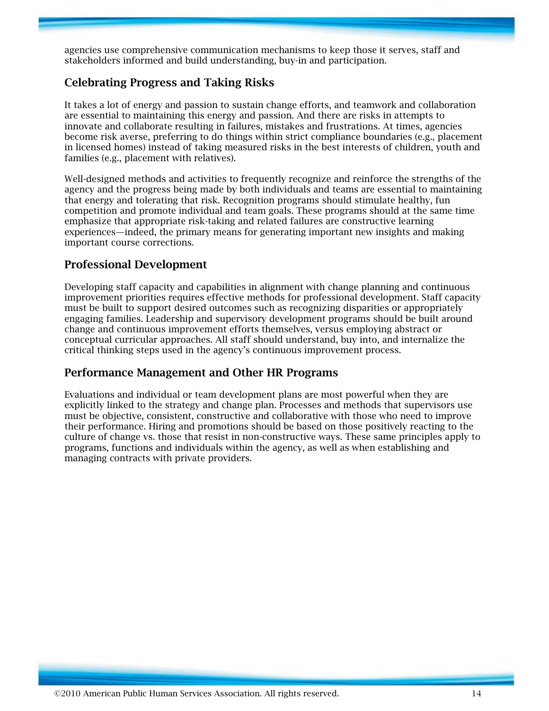agencies use comprehensive communication mechanisms to keep those it serves, staff and stakeholders informed and build understanding, buy-in and participation.

## **Celebrating Progress and Taking Risks**

It takes a lot of energy and passion to sustain change efforts, and teamwork and collaboration are essential to maintaining this energy and passion. And there are risks in attempts to innovate and collaborate resulting in failures, mistakes and frustrations. At times, agencies become risk averse, preferring to do things within strict compliance boundaries (e.g., placement in licensed homes) instead of taking measured risks in the best interests of children, youth and families (e.g., placement with relatives).

Well-designed methods and activities to frequently recognize and reinforce the strengths of the agency and the progress being made by both individuals and teams are essential to maintaining that energy and tolerating that risk. Recognition programs should stimulate healthy, fun competition and promote individual and team goals. These programs should at the same time emphasize that appropriate risk-taking and related failures are constructive learning experiences—indeed, the primary means for generating important new insights and making important course corrections.

## **Professional Development**

Developing staff capacity and capabilities in alignment with change planning and continuous improvement priorities requires effective methods for professional development. Staff capacity must be built to support desired outcomes such as recognizing disparities or appropriately engaging families. Leadership and supervisory development programs should be built around change and continuous improvement efforts themselves, versus employing abstract or conceptual curricular approaches. All staff should understand, buy into, and internalize the critical thinking steps used in the agency's continuous improvement process.

## **Performance Management and Other HR Programs**

Evaluations and individual or team development plans are most powerful when they are explicitly linked to the strategy and change plan. Processes and methods that supervisors use must be objective, consistent, constructive and collaborative with those who need to improve their performance. Hiring and promotions should be based on those positively reacting to the culture of change vs. those that resist in non-constructive ways. These same principles apply to programs, functions and individuals within the agency, as well as when establishing and managing contracts with private providers.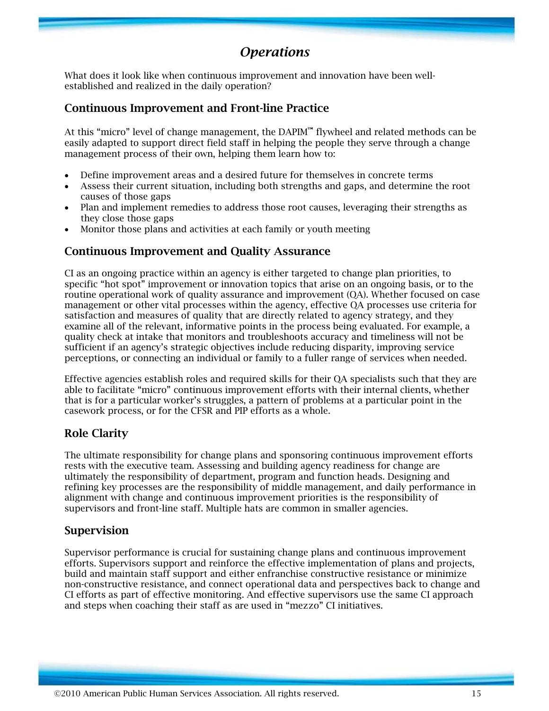# *Operations*

What does it look like when continuous improvement and innovation have been wellestablished and realized in the daily operation?

#### **Continuous Improvement and Front-line Practice**

At this "micro" level of change management, the DAPIM**™** flywheel and related methods can be easily adapted to support direct field staff in helping the people they serve through a change management process of their own, helping them learn how to:

- Define improvement areas and a desired future for themselves in concrete terms
- Assess their current situation, including both strengths and gaps, and determine the root causes of those gaps
- Plan and implement remedies to address those root causes, leveraging their strengths as they close those gaps
- Monitor those plans and activities at each family or youth meeting

#### **Continuous Improvement and Quality Assurance**

CI as an ongoing practice within an agency is either targeted to change plan priorities, to specific "hot spot" improvement or innovation topics that arise on an ongoing basis, or to the routine operational work of quality assurance and improvement (QA). Whether focused on case management or other vital processes within the agency, effective QA processes use criteria for satisfaction and measures of quality that are directly related to agency strategy, and they examine all of the relevant, informative points in the process being evaluated. For example, a quality check at intake that monitors and troubleshoots accuracy and timeliness will not be sufficient if an agency's strategic objectives include reducing disparity, improving service perceptions, or connecting an individual or family to a fuller range of services when needed.

Effective agencies establish roles and required skills for their QA specialists such that they are able to facilitate "micro" continuous improvement efforts with their internal clients, whether that is for a particular worker's struggles, a pattern of problems at a particular point in the casework process, or for the CFSR and PIP efforts as a whole.

## **Role Clarity**

The ultimate responsibility for change plans and sponsoring continuous improvement efforts rests with the executive team. Assessing and building agency readiness for change are ultimately the responsibility of department, program and function heads. Designing and refining key processes are the responsibility of middle management, and daily performance in alignment with change and continuous improvement priorities is the responsibility of supervisors and front-line staff. Multiple hats are common in smaller agencies.

#### **Supervision**

Supervisor performance is crucial for sustaining change plans and continuous improvement efforts. Supervisors support and reinforce the effective implementation of plans and projects, build and maintain staff support and either enfranchise constructive resistance or minimize non-constructive resistance, and connect operational data and perspectives back to change and CI efforts as part of effective monitoring. And effective supervisors use the same CI approach and steps when coaching their staff as are used in "mezzo" CI initiatives.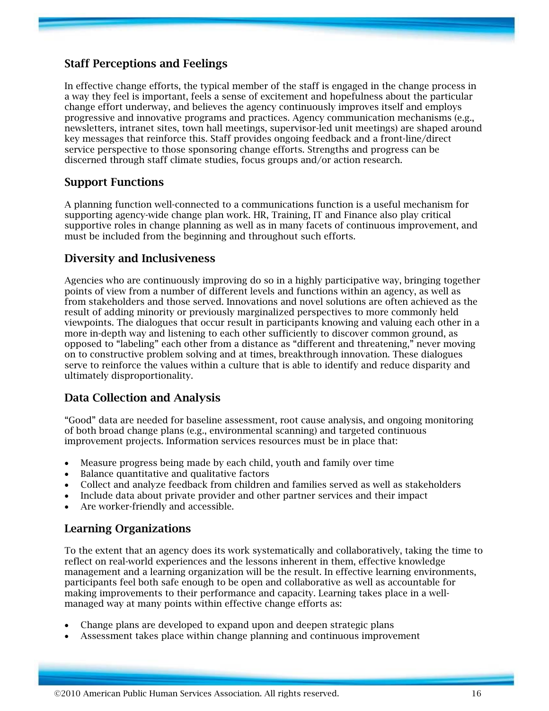## **Staff Perceptions and Feelings**

In effective change efforts, the typical member of the staff is engaged in the change process in a way they feel is important, feels a sense of excitement and hopefulness about the particular change effort underway, and believes the agency continuously improves itself and employs progressive and innovative programs and practices. Agency communication mechanisms (e.g., newsletters, intranet sites, town hall meetings, supervisor-led unit meetings) are shaped around key messages that reinforce this. Staff provides ongoing feedback and a front-line/direct service perspective to those sponsoring change efforts. Strengths and progress can be discerned through staff climate studies, focus groups and/or action research.

## **Support Functions**

A planning function well-connected to a communications function is a useful mechanism for supporting agency-wide change plan work. HR, Training, IT and Finance also play critical supportive roles in change planning as well as in many facets of continuous improvement, and must be included from the beginning and throughout such efforts.

#### **Diversity and Inclusiveness**

Agencies who are continuously improving do so in a highly participative way, bringing together points of view from a number of different levels and functions within an agency, as well as from stakeholders and those served. Innovations and novel solutions are often achieved as the result of adding minority or previously marginalized perspectives to more commonly held viewpoints. The dialogues that occur result in participants knowing and valuing each other in a more in-depth way and listening to each other sufficiently to discover common ground, as opposed to "labeling" each other from a distance as "different and threatening," never moving on to constructive problem solving and at times, breakthrough innovation. These dialogues serve to reinforce the values within a culture that is able to identify and reduce disparity and ultimately disproportionality.

## **Data Collection and Analysis**

"Good" data are needed for baseline assessment, root cause analysis, and ongoing monitoring of both broad change plans (e.g., environmental scanning) and targeted continuous improvement projects. Information services resources must be in place that:

- Measure progress being made by each child, youth and family over time
- Balance quantitative and qualitative factors
- Collect and analyze feedback from children and families served as well as stakeholders
- Include data about private provider and other partner services and their impact
- Are worker-friendly and accessible.

#### **Learning Organizations**

To the extent that an agency does its work systematically and collaboratively, taking the time to reflect on real-world experiences and the lessons inherent in them, effective knowledge management and a learning organization will be the result. In effective learning environments, participants feel both safe enough to be open and collaborative as well as accountable for making improvements to their performance and capacity. Learning takes place in a wellmanaged way at many points within effective change efforts as:

- Change plans are developed to expand upon and deepen strategic plans
- Assessment takes place within change planning and continuous improvement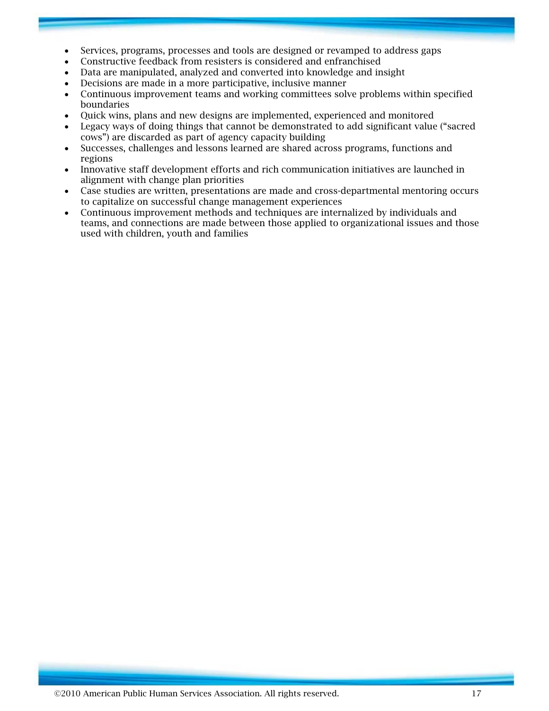- Services, programs, processes and tools are designed or revamped to address gaps
- Constructive feedback from resisters is considered and enfranchised
- Data are manipulated, analyzed and converted into knowledge and insight
- Decisions are made in a more participative, inclusive manner
- Continuous improvement teams and working committees solve problems within specified boundaries
- Quick wins, plans and new designs are implemented, experienced and monitored
- Legacy ways of doing things that cannot be demonstrated to add significant value ("sacred cows") are discarded as part of agency capacity building
- Successes, challenges and lessons learned are shared across programs, functions and regions
- Innovative staff development efforts and rich communication initiatives are launched in alignment with change plan priorities
- Case studies are written, presentations are made and cross-departmental mentoring occurs to capitalize on successful change management experiences
- Continuous improvement methods and techniques are internalized by individuals and teams, and connections are made between those applied to organizational issues and those used with children, youth and families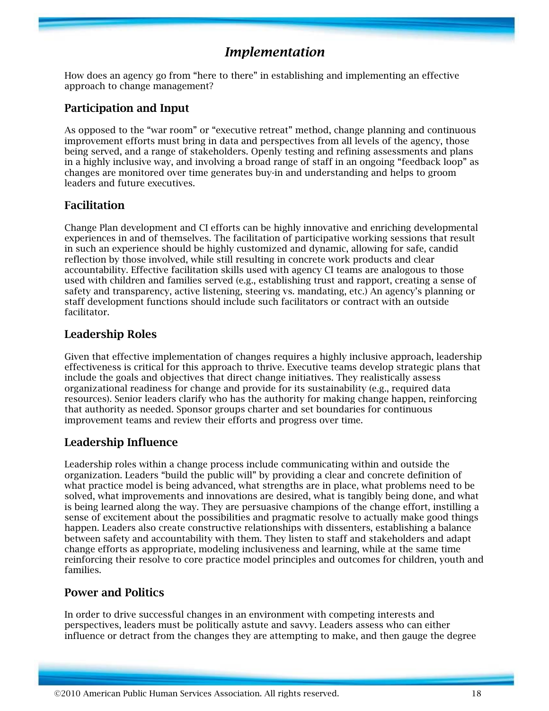# *Implementation*

How does an agency go from "here to there" in establishing and implementing an effective approach to change management?

## **Participation and Input**

As opposed to the "war room" or "executive retreat" method, change planning and continuous improvement efforts must bring in data and perspectives from all levels of the agency, those being served, and a range of stakeholders. Openly testing and refining assessments and plans in a highly inclusive way, and involving a broad range of staff in an ongoing "feedback loop" as changes are monitored over time generates buy-in and understanding and helps to groom leaders and future executives.

## **Facilitation**

Change Plan development and CI efforts can be highly innovative and enriching developmental experiences in and of themselves. The facilitation of participative working sessions that result in such an experience should be highly customized and dynamic, allowing for safe, candid reflection by those involved, while still resulting in concrete work products and clear accountability. Effective facilitation skills used with agency CI teams are analogous to those used with children and families served (e.g., establishing trust and rapport, creating a sense of safety and transparency, active listening, steering vs. mandating, etc.) An agency's planning or staff development functions should include such facilitators or contract with an outside facilitator.

## **Leadership Roles**

Given that effective implementation of changes requires a highly inclusive approach, leadership effectiveness is critical for this approach to thrive. Executive teams develop strategic plans that include the goals and objectives that direct change initiatives. They realistically assess organizational readiness for change and provide for its sustainability (e.g., required data resources). Senior leaders clarify who has the authority for making change happen, reinforcing that authority as needed. Sponsor groups charter and set boundaries for continuous improvement teams and review their efforts and progress over time.

## **Leadership Influence**

Leadership roles within a change process include communicating within and outside the organization. Leaders "build the public will" by providing a clear and concrete definition of what practice model is being advanced, what strengths are in place, what problems need to be solved, what improvements and innovations are desired, what is tangibly being done, and what is being learned along the way. They are persuasive champions of the change effort, instilling a sense of excitement about the possibilities and pragmatic resolve to actually make good things happen. Leaders also create constructive relationships with dissenters, establishing a balance between safety and accountability with them. They listen to staff and stakeholders and adapt change efforts as appropriate, modeling inclusiveness and learning, while at the same time reinforcing their resolve to core practice model principles and outcomes for children, youth and families.

## **Power and Politics**

In order to drive successful changes in an environment with competing interests and perspectives, leaders must be politically astute and savvy. Leaders assess who can either influence or detract from the changes they are attempting to make, and then gauge the degree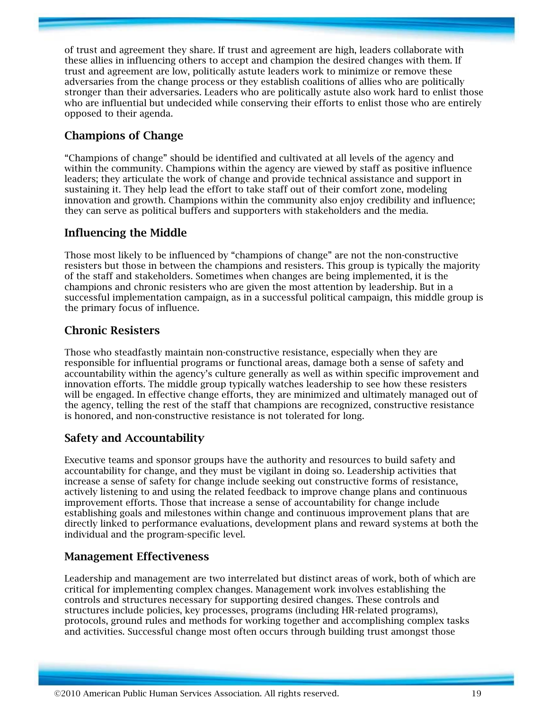of trust and agreement they share. If trust and agreement are high, leaders collaborate with these allies in influencing others to accept and champion the desired changes with them. If trust and agreement are low, politically astute leaders work to minimize or remove these adversaries from the change process or they establish coalitions of allies who are politically stronger than their adversaries. Leaders who are politically astute also work hard to enlist those who are influential but undecided while conserving their efforts to enlist those who are entirely opposed to their agenda.

# **Champions of Change**

"Champions of change" should be identified and cultivated at all levels of the agency and within the community. Champions within the agency are viewed by staff as positive influence leaders; they articulate the work of change and provide technical assistance and support in sustaining it. They help lead the effort to take staff out of their comfort zone, modeling innovation and growth. Champions within the community also enjoy credibility and influence; they can serve as political buffers and supporters with stakeholders and the media.

# **Influencing the Middle**

Those most likely to be influenced by "champions of change" are not the non-constructive resisters but those in between the champions and resisters. This group is typically the majority of the staff and stakeholders. Sometimes when changes are being implemented, it is the champions and chronic resisters who are given the most attention by leadership. But in a successful implementation campaign, as in a successful political campaign, this middle group is the primary focus of influence.

# **Chronic Resisters**

Those who steadfastly maintain non-constructive resistance, especially when they are responsible for influential programs or functional areas, damage both a sense of safety and accountability within the agency's culture generally as well as within specific improvement and innovation efforts. The middle group typically watches leadership to see how these resisters will be engaged. In effective change efforts, they are minimized and ultimately managed out of the agency, telling the rest of the staff that champions are recognized, constructive resistance is honored, and non-constructive resistance is not tolerated for long.

# **Safety and Accountability**

Executive teams and sponsor groups have the authority and resources to build safety and accountability for change, and they must be vigilant in doing so. Leadership activities that increase a sense of safety for change include seeking out constructive forms of resistance, actively listening to and using the related feedback to improve change plans and continuous improvement efforts. Those that increase a sense of accountability for change include establishing goals and milestones within change and continuous improvement plans that are directly linked to performance evaluations, development plans and reward systems at both the individual and the program-specific level.

# **Management Effectiveness**

Leadership and management are two interrelated but distinct areas of work, both of which are critical for implementing complex changes. Management work involves establishing the controls and structures necessary for supporting desired changes. These controls and structures include policies, key processes, programs (including HR-related programs), protocols, ground rules and methods for working together and accomplishing complex tasks and activities. Successful change most often occurs through building trust amongst those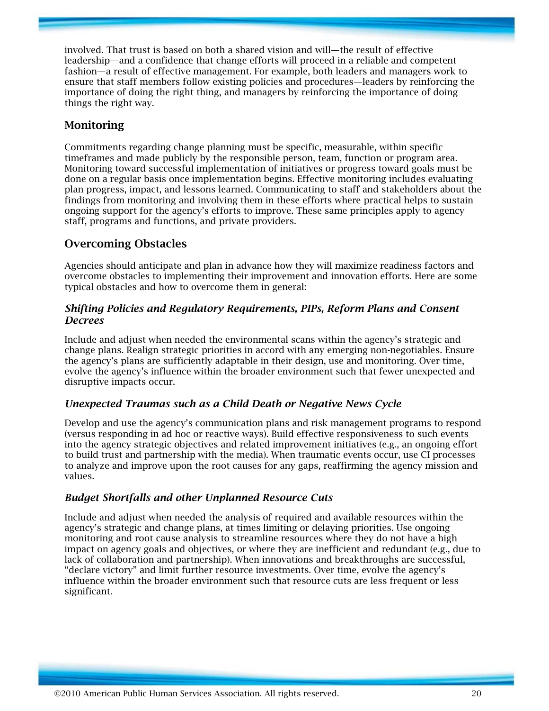involved. That trust is based on both a shared vision and will—the result of effective leadership—and a confidence that change efforts will proceed in a reliable and competent fashion—a result of effective management. For example, both leaders and managers work to ensure that staff members follow existing policies and procedures—leaders by reinforcing the importance of doing the right thing, and managers by reinforcing the importance of doing things the right way.

## **Monitoring**

Commitments regarding change planning must be specific, measurable, within specific timeframes and made publicly by the responsible person, team, function or program area. Monitoring toward successful implementation of initiatives or progress toward goals must be done on a regular basis once implementation begins. Effective monitoring includes evaluating plan progress, impact, and lessons learned. Communicating to staff and stakeholders about the findings from monitoring and involving them in these efforts where practical helps to sustain ongoing support for the agency's efforts to improve. These same principles apply to agency staff, programs and functions, and private providers.

# **Overcoming Obstacles**

Agencies should anticipate and plan in advance how they will maximize readiness factors and overcome obstacles to implementing their improvement and innovation efforts. Here are some typical obstacles and how to overcome them in general:

#### *Shifting Policies and Regulatory Requirements, PIPs, Reform Plans and Consent Decrees*

Include and adjust when needed the environmental scans within the agency's strategic and change plans. Realign strategic priorities in accord with any emerging non-negotiables. Ensure the agency's plans are sufficiently adaptable in their design, use and monitoring. Over time, evolve the agency's influence within the broader environment such that fewer unexpected and disruptive impacts occur.

#### *Unexpected Traumas such as a Child Death or Negative News Cycle*

Develop and use the agency's communication plans and risk management programs to respond (versus responding in ad hoc or reactive ways). Build effective responsiveness to such events into the agency strategic objectives and related improvement initiatives (e.g., an ongoing effort to build trust and partnership with the media). When traumatic events occur, use CI processes to analyze and improve upon the root causes for any gaps, reaffirming the agency mission and values.

#### *Budget Shortfalls and other Unplanned Resource Cuts*

Include and adjust when needed the analysis of required and available resources within the agency's strategic and change plans, at times limiting or delaying priorities. Use ongoing monitoring and root cause analysis to streamline resources where they do not have a high impact on agency goals and objectives, or where they are inefficient and redundant (e.g., due to lack of collaboration and partnership). When innovations and breakthroughs are successful, "declare victory" and limit further resource investments. Over time, evolve the agency's influence within the broader environment such that resource cuts are less frequent or less significant.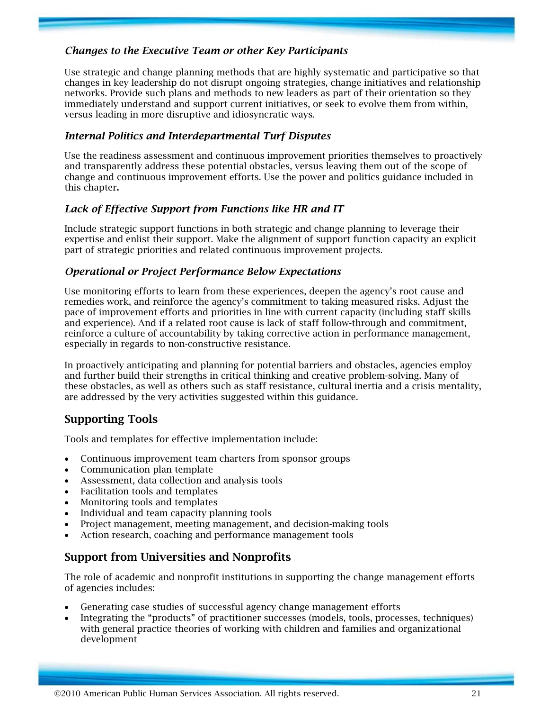#### *Changes to the Executive Team or other Key Participants*

Use strategic and change planning methods that are highly systematic and participative so that changes in key leadership do not disrupt ongoing strategies, change initiatives and relationship networks. Provide such plans and methods to new leaders as part of their orientation so they immediately understand and support current initiatives, or seek to evolve them from within, versus leading in more disruptive and idiosyncratic ways.

#### *Internal Politics and Interdepartmental Turf Disputes*

Use the readiness assessment and continuous improvement priorities themselves to proactively and transparently address these potential obstacles, versus leaving them out of the scope of change and continuous improvement efforts. Use the power and politics guidance included in this chapter**.** 

#### *Lack of Effective Support from Functions like HR and IT*

Include strategic support functions in both strategic and change planning to leverage their expertise and enlist their support. Make the alignment of support function capacity an explicit part of strategic priorities and related continuous improvement projects.

#### *Operational or Project Performance Below Expectations*

Use monitoring efforts to learn from these experiences, deepen the agency's root cause and remedies work, and reinforce the agency's commitment to taking measured risks. Adjust the pace of improvement efforts and priorities in line with current capacity (including staff skills and experience). And if a related root cause is lack of staff follow-through and commitment, reinforce a culture of accountability by taking corrective action in performance management, especially in regards to non-constructive resistance.

In proactively anticipating and planning for potential barriers and obstacles, agencies employ and further build their strengths in critical thinking and creative problem-solving. Many of these obstacles, as well as others such as staff resistance, cultural inertia and a crisis mentality, are addressed by the very activities suggested within this guidance.

# **Supporting Tools**

Tools and templates for effective implementation include:

- Continuous improvement team charters from sponsor groups
- Communication plan template
- Assessment, data collection and analysis tools
- Facilitation tools and templates
- Monitoring tools and templates
- Individual and team capacity planning tools
- Project management, meeting management, and decision-making tools
- Action research, coaching and performance management tools

## **Support from Universities and Nonprofits**

The role of academic and nonprofit institutions in supporting the change management efforts of agencies includes:

- Generating case studies of successful agency change management efforts
- Integrating the "products" of practitioner successes (models, tools, processes, techniques) with general practice theories of working with children and families and organizational development